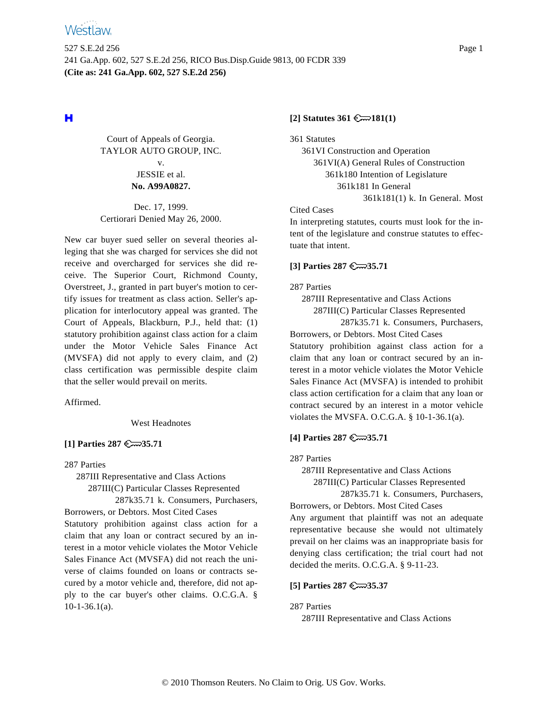

# н

Court of Appeals of Georgia. TAYLOR AUTO GROUP, INC. v. JESSIE et al. **No. A99A0827.**

Dec. 17, 1999. Certiorari Denied May 26, 2000.

New car buyer sued seller on several theories alleging that she was charged for services she did not receive and overcharged for services she did receive. The Superior Court, Richmond County, Overstreet, J., granted in part buyer's motion to certify issues for treatment as class action. Seller's application for interlocutory appeal was granted. The Court of Appeals, Blackburn, P.J., held that: (1) statutory prohibition against class action for a claim under the Motor Vehicle Sales Finance Act (MVSFA) did not apply to every claim, and (2) class certification was permissible despite claim that the seller would prevail on merits.

Affirmed.

West Headnotes

### **[1] Parties 287 35.71**

287 Parties

287III Representative and Class Actions

287III(C) Particular Classes Represented

287k35.71 k. Consumers, Purchasers, Borrowers, or Debtors. Most Cited Cases

Statutory prohibition against class action for a claim that any loan or contract secured by an interest in a motor vehicle violates the Motor Vehicle Sales Finance Act (MVSFA) did not reach the universe of claims founded on loans or contracts secured by a motor vehicle and, therefore, did not apply to the car buyer's other claims. O.C.G.A. §  $10-1-36.1(a)$ .

#### **[2] Statutes 361 181(1)**

361 Statutes

361VI Construction and Operation 361VI(A) General Rules of Construction 361k180 Intention of Legislature 361k181 In General 361k181(1) k. In General. Most

#### Cited Cases

In interpreting statutes, courts must look for the intent of the legislature and construe statutes to effectuate that intent.

### **[3] Parties 287 35.71**

287 Parties

287III Representative and Class Actions

287III(C) Particular Classes Represented

287k35.71 k. Consumers, Purchasers, Borrowers, or Debtors. Most Cited Cases

Statutory prohibition against class action for a claim that any loan or contract secured by an interest in a motor vehicle violates the Motor Vehicle Sales Finance Act (MVSFA) is intended to prohibit class action certification for a claim that any loan or contract secured by an interest in a motor vehicle violates the MVSFA. O.C.G.A. § 10-1-36.1(a).

## **[4] Parties 287 35.71**

287 Parties

287III Representative and Class Actions

287III(C) Particular Classes Represented

287k35.71 k. Consumers, Purchasers,

Borrowers, or Debtors. Most Cited Cases Any argument that plaintiff was not an adequate representative because she would not ultimately prevail on her claims was an inappropriate basis for denying class certification; the trial court had not decided the merits. O.C.G.A. § 9-11-23.

## **[5] Parties 287 35.37**

287 Parties

287III Representative and Class Actions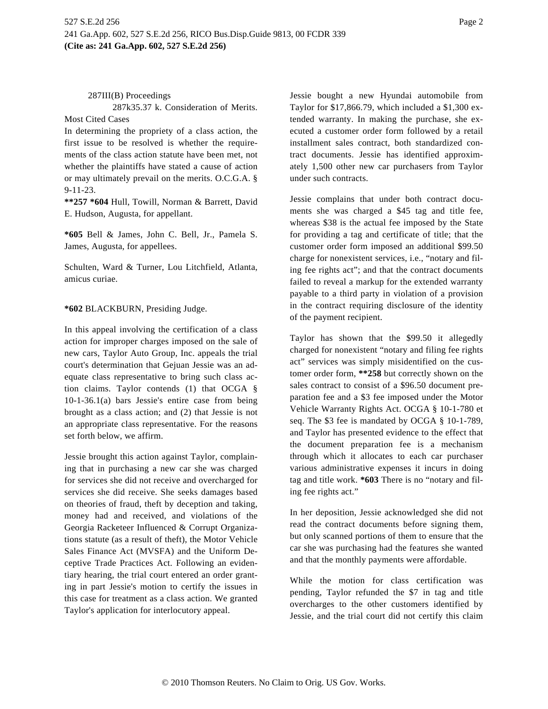287k35.37 k. Consideration of Merits.

Most Cited Cases

In determining the propriety of a class action, the first issue to be resolved is whether the requirements of the class action statute have been met, not whether the plaintiffs have stated a cause of action or may ultimately prevail on the merits. O.C.G.A. § 9-11-23.

**\*\*257 \*604** Hull, Towill, Norman & Barrett, David E. Hudson, Augusta, for appellant.

**\*605** Bell & James, John C. Bell, Jr., Pamela S. James, Augusta, for appellees.

Schulten, Ward & Turner, Lou Litchfield, Atlanta, amicus curiae.

**\*602** BLACKBURN, Presiding Judge.

In this appeal involving the certification of a class action for improper charges imposed on the sale of new cars, Taylor Auto Group, Inc. appeals the trial court's determination that Gejuan Jessie was an adequate class representative to bring such class action claims. Taylor contends (1) that OCGA § 10-1-36.1(a) bars Jessie's entire case from being brought as a class action; and (2) that Jessie is not an appropriate class representative. For the reasons set forth below, we affirm.

Jessie brought this action against Taylor, complaining that in purchasing a new car she was charged for services she did not receive and overcharged for services she did receive. She seeks damages based on theories of fraud, theft by deception and taking, money had and received, and violations of the Georgia Racketeer Influenced & Corrupt Organizations statute (as a result of theft), the Motor Vehicle Sales Finance Act (MVSFA) and the Uniform Deceptive Trade Practices Act. Following an evidentiary hearing, the trial court entered an order granting in part Jessie's motion to certify the issues in this case for treatment as a class action. We granted Taylor's application for interlocutory appeal.

Jessie bought a new Hyundai automobile from Taylor for \$17,866.79, which included a \$1,300 extended warranty. In making the purchase, she executed a customer order form followed by a retail installment sales contract, both standardized contract documents. Jessie has identified approximately 1,500 other new car purchasers from Taylor under such contracts.

Jessie complains that under both contract documents she was charged a \$45 tag and title fee, whereas \$38 is the actual fee imposed by the State for providing a tag and certificate of title; that the customer order form imposed an additional \$99.50 charge for nonexistent services, i.e., "notary and filing fee rights act"; and that the contract documents failed to reveal a markup for the extended warranty payable to a third party in violation of a provision in the contract requiring disclosure of the identity of the payment recipient.

Taylor has shown that the \$99.50 it allegedly charged for nonexistent "notary and filing fee rights act" services was simply misidentified on the customer order form, **\*\*258** but correctly shown on the sales contract to consist of a \$96.50 document preparation fee and a \$3 fee imposed under the Motor Vehicle Warranty Rights Act. OCGA § 10-1-780 et seq. The \$3 fee is mandated by OCGA § 10-1-789, and Taylor has presented evidence to the effect that the document preparation fee is a mechanism through which it allocates to each car purchaser various administrative expenses it incurs in doing tag and title work. **\*603** There is no "notary and filing fee rights act."

In her deposition, Jessie acknowledged she did not read the contract documents before signing them, but only scanned portions of them to ensure that the car she was purchasing had the features she wanted and that the monthly payments were affordable.

While the motion for class certification was pending, Taylor refunded the \$7 in tag and title overcharges to the other customers identified by Jessie, and the trial court did not certify this claim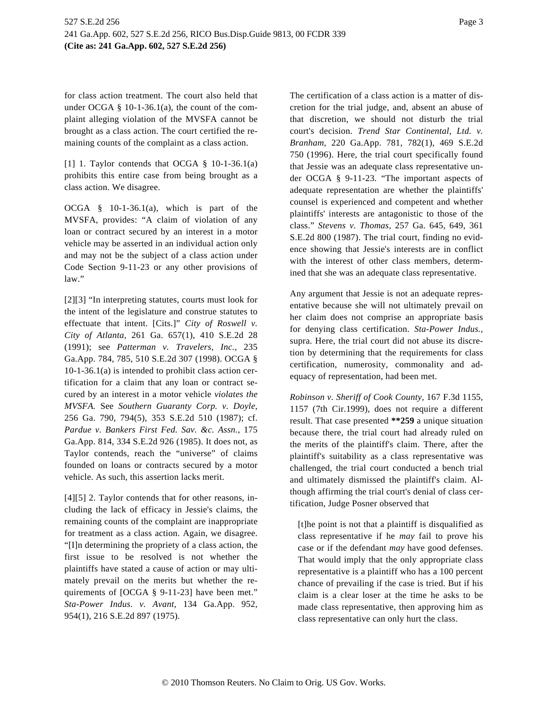for class action treatment. The court also held that under OCGA  $\S$  10-1-36.1(a), the count of the complaint alleging violation of the MVSFA cannot be brought as a class action. The court certified the remaining counts of the complaint as a class action.

[1] 1. Taylor contends that OCGA  $\S$  10-1-36.1(a) prohibits this entire case from being brought as a class action. We disagree.

OCGA § 10-1-36.1(a), which is part of the MVSFA, provides: "A claim of violation of any loan or contract secured by an interest in a motor vehicle may be asserted in an individual action only and may not be the subject of a class action under Code Section 9-11-23 or any other provisions of law."

[2][3] "In interpreting statutes, courts must look for the intent of the legislature and construe statutes to effectuate that intent. [Cits.]" *City of Roswell v. City of Atlanta,* 261 Ga. 657(1), 410 S.E.2d 28 (1991); see *Patterman v. Travelers, Inc.,* 235 Ga.App. 784, 785, 510 S.E.2d 307 (1998). OCGA § 10-1-36.1(a) is intended to prohibit class action certification for a claim that any loan or contract secured by an interest in a motor vehicle *violates the MVSFA.* See *Southern Guaranty Corp. v. Doyle,* 256 Ga. 790, 794(5), 353 S.E.2d 510 (1987); cf. *Pardue v. Bankers First Fed. Sav. &c. Assn.,* 175 Ga.App. 814, 334 S.E.2d 926 (1985). It does not, as Taylor contends, reach the "universe" of claims founded on loans or contracts secured by a motor vehicle. As such, this assertion lacks merit.

[4][5] 2. Taylor contends that for other reasons, including the lack of efficacy in Jessie's claims, the remaining counts of the complaint are inappropriate for treatment as a class action. Again, we disagree. "[I]n determining the propriety of a class action, the first issue to be resolved is not whether the plaintiffs have stated a cause of action or may ultimately prevail on the merits but whether the requirements of [OCGA § 9-11-23] have been met." *Sta-Power Indus. v. Avant,* 134 Ga.App. 952, 954(1), 216 S.E.2d 897 (1975).

The certification of a class action is a matter of discretion for the trial judge, and, absent an abuse of that discretion, we should not disturb the trial court's decision. *Trend Star Continental, Ltd. v. Branham,* 220 Ga.App. 781, 782(1), 469 S.E.2d 750 (1996). Here, the trial court specifically found that Jessie was an adequate class representative under OCGA § 9-11-23. "The important aspects of adequate representation are whether the plaintiffs' counsel is experienced and competent and whether plaintiffs' interests are antagonistic to those of the class." *Stevens v. Thomas,* 257 Ga. 645, 649, 361 S.E.2d 800 (1987). The trial court, finding no evidence showing that Jessie's interests are in conflict with the interest of other class members, determined that she was an adequate class representative.

Any argument that Jessie is not an adequate representative because she will not ultimately prevail on her claim does not comprise an appropriate basis for denying class certification. *Sta-Power Indus.,* supra. Here, the trial court did not abuse its discretion by determining that the requirements for class certification, numerosity, commonality and adequacy of representation, had been met.

*Robinson v. Sheriff of Cook County,* 167 F.3d 1155, 1157 (7th Cir.1999), does not require a different result. That case presented **\*\*259** a unique situation because there, the trial court had already ruled on the merits of the plaintiff's claim. There, after the plaintiff's suitability as a class representative was challenged, the trial court conducted a bench trial and ultimately dismissed the plaintiff's claim. Although affirming the trial court's denial of class certification, Judge Posner observed that

[t]he point is not that a plaintiff is disqualified as class representative if he *may* fail to prove his case or if the defendant *may* have good defenses. That would imply that the only appropriate class representative is a plaintiff who has a 100 percent chance of prevailing if the case is tried. But if his claim is a clear loser at the time he asks to be made class representative, then approving him as class representative can only hurt the class.